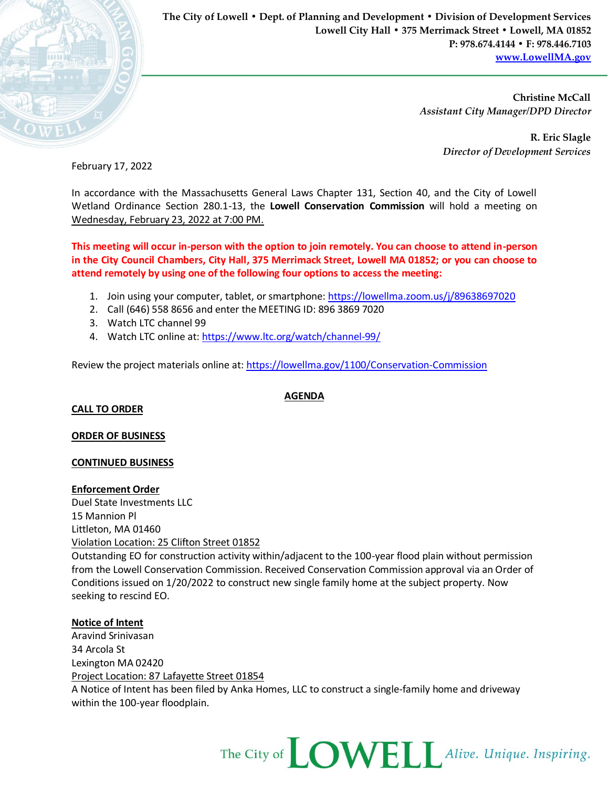

**The City of Lowell • Dept. of Planning and Development • Division of Development Services Lowell City Hall • 375 Merrimack Street • Lowell, MA 01852 P: 978.674.4144 • F: 978.446.7103 [www.LowellMA.gov](http://www.lowellma.gov/)**

> **Christine McCall** *Assistant City Manager/DPD Director*

> > **R. Eric Slagle** *Director of Development Services*

February 17, 2022

In accordance with the Massachusetts General Laws Chapter 131, Section 40, and the City of Lowell Wetland Ordinance Section 280.1-13, the **Lowell Conservation Commission** will hold a meeting on Wednesday, February 23, 2022 at 7:00 PM.

**This meeting will occur in-person with the option to join remotely. You can choose to attend in-person in the City Council Chambers, City Hall, 375 Merrimack Street, Lowell MA 01852; or you can choose to attend remotely by using one of the following four options to access the meeting:**

- 1. Join using your computer, tablet, or smartphone: <https://lowellma.zoom.us/j/89638697020>
- 2. Call (646) 558 8656 and enter the MEETING ID: 896 3869 7020
- 3. Watch LTC channel 99
- 4. Watch LTC online at[: https://www.ltc.org/watch/channel-99/](https://www.ltc.org/watch/channel-99/)

Review the project materials online at[: https://lowellma.gov/1100/Conservation-Commission](https://lowellma.gov/1100/Conservation-Commission)

**CALL TO ORDER**

## **ORDER OF BUSINESS**

## **CONTINUED BUSINESS**

#### **Enforcement Order**

Duel State Investments LLC 15 Mannion Pl Littleton, MA 01460 Violation Location: 25 Clifton Street 01852 Outstanding EO for construction activity within/adjacent to the 100-year flood plain without permission

from the Lowell Conservation Commission. Received Conservation Commission approval via an Order of Conditions issued on 1/20/2022 to construct new single family home at the subject property. Now seeking to rescind EO.

# **Notice of Intent**

Aravind Srinivasan 34 Arcola St Lexington MA 02420 Project Location: 87 Lafayette Street 01854 A Notice of Intent has been filed by Anka Homes, LLC to construct a single-family home and driveway within the 100-year floodplain.



#### **AGENDA**